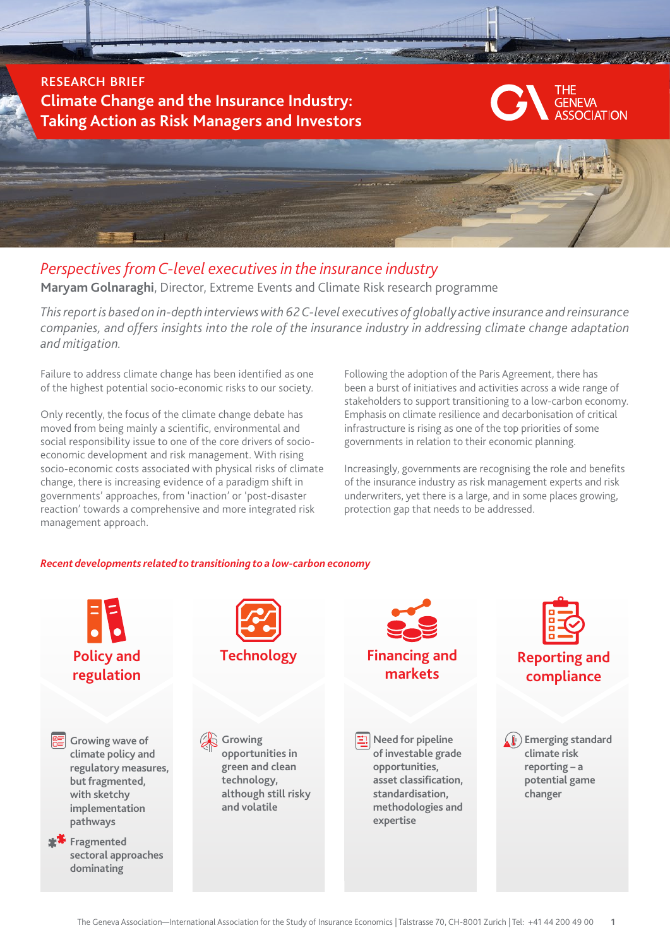research brief **Climate Change and the Insurance Industry: Taking Action as Risk Managers and Investors**





# *Perspectives from C-level executives in the insurance industry*

**Maryam Golnaraghi**, Director, Extreme Events and Climate Risk research programme

*This report is based on in-depth interviews with 62 C-level executives of globally active insurance and reinsurance companies, and offers insights into the role of the insurance industry in addressing climate change adaptation and mitigation.* 

Failure to address climate change has been identified as one of the highest potential socio-economic risks to our society.

Only recently, the focus of the climate change debate has moved from being mainly a scientific, environmental and social responsibility issue to one of the core drivers of socioeconomic development and risk management. With rising socio-economic costs associated with physical risks of climate change, there is increasing evidence of a paradigm shift in governments' approaches, from 'inaction' or 'post-disaster reaction' towards a comprehensive and more integrated risk management approach.

Following the adoption of the Paris Agreement, there has been a burst of initiatives and activities across a wide range of stakeholders to support transitioning to a low-carbon economy. Emphasis on climate resilience and decarbonisation of critical infrastructure is rising as one of the top priorities of some governments in relation to their economic planning.

Increasingly, governments are recognising the role and benefits of the insurance industry as risk management experts and risk underwriters, yet there is a large, and in some places growing, protection gap that needs to be addressed.

# *Recent developments related to transitioning to a low-carbon economy*

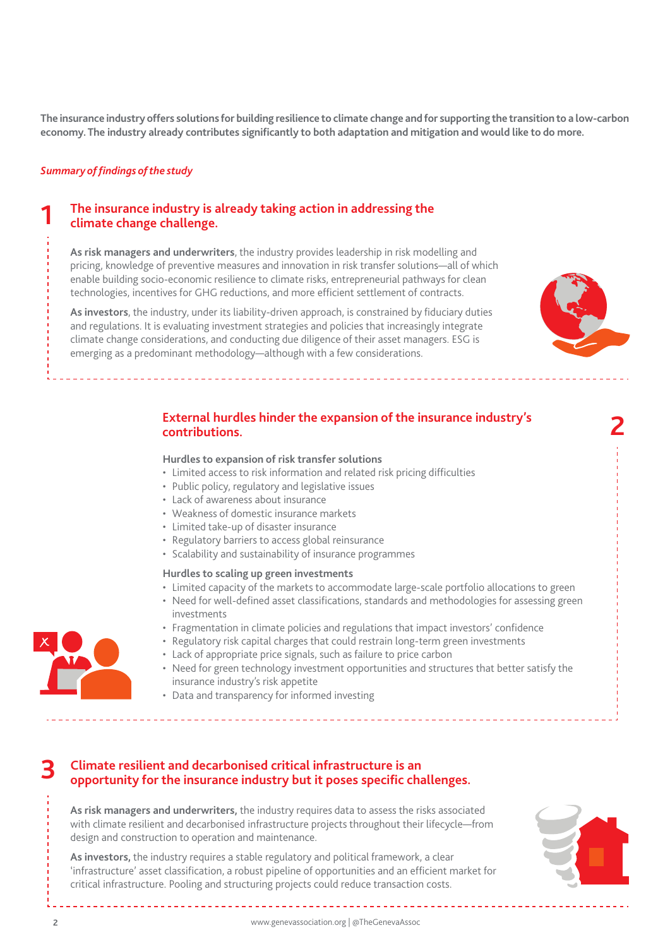**The insurance industry offers solutions for building resilience to climate change and for supporting the transition to a low-carbon economy. The industry already contributes significantly to both adaptation and mitigation and would like to do more.** 

## *Summary of findings of the study*

**1**

# **The insurance industry is already taking action in addressing the climate change challenge.**

**As risk managers and underwriters**, the industry provides leadership in risk modelling and pricing, knowledge of preventive measures and innovation in risk transfer solutions—all of which enable building socio-economic resilience to climate risks, entrepreneurial pathways for clean technologies, incentives for GHG reductions, and more efficient settlement of contracts.

**As investors**, the industry, under its liability-driven approach, is constrained by fiduciary duties and regulations. It is evaluating investment strategies and policies that increasingly integrate climate change considerations, and conducting due diligence of their asset managers. ESG is emerging as a predominant methodology—although with a few considerations.



**2**

# **External hurdles hinder the expansion of the insurance industry's contributions.**

#### **Hurdles to expansion of risk transfer solutions**

- Limited access to risk information and related risk pricing difficulties
- Public policy, regulatory and legislative issues
- Lack of awareness about insurance
- Weakness of domestic insurance markets
- Limited take-up of disaster insurance
- Regulatory barriers to access global reinsurance
- Scalability and sustainability of insurance programmes

#### **Hurdles to scaling up green investments**

- Limited capacity of the markets to accommodate large-scale portfolio allocations to green
- Need for well-defined asset classifications, standards and methodologies for assessing green investments
- Fragmentation in climate policies and regulations that impact investors' confidence
- Regulatory risk capital charges that could restrain long-term green investments
- Lack of appropriate price signals, such as failure to price carbon
- Need for green technology investment opportunities and structures that better satisfy the insurance industry's risk appetite

• Data and transparency for informed investing



**As risk managers and underwriters,** the industry requires data to assess the risks associated with climate resilient and decarbonised infrastructure projects throughout their lifecycle—from design and construction to operation and maintenance.

**As investors,** the industry requires a stable regulatory and political framework, a clear 'infrastructure' asset classification, a robust pipeline of opportunities and an efficient market for critical infrastructure. Pooling and structuring projects could reduce transaction costs.



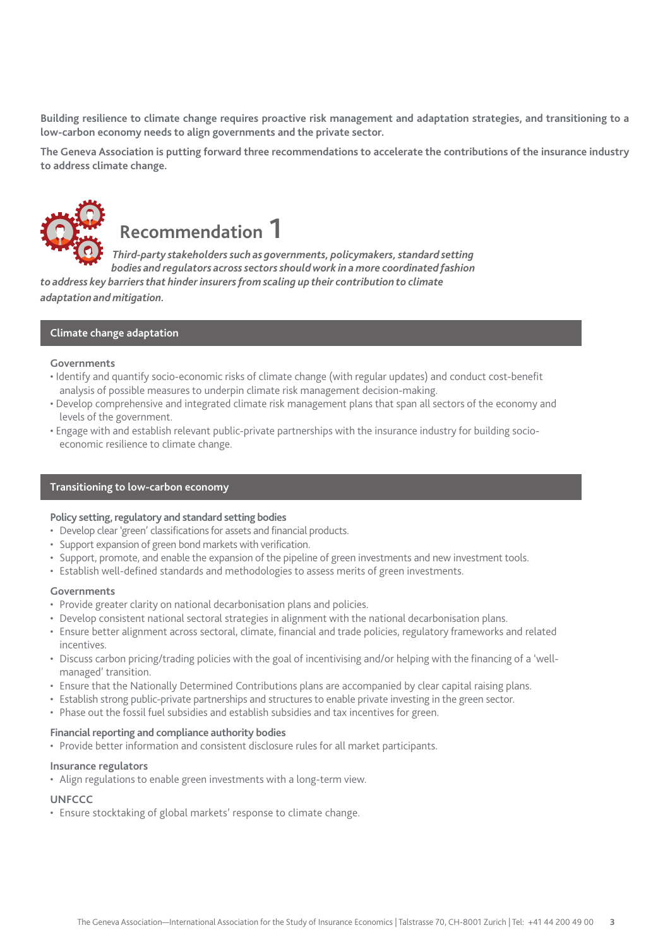**Building resilience to climate change requires proactive risk management and adaptation strategies, and transitioning to a low-carbon economy needs to align governments and the private sector.**

**The Geneva Association is putting forward three recommendations to accelerate the contributions of the insurance industry to address climate change.**



# **Recommendation 1**

 *Third-party stakeholders such as governments, policymakers, standard setting bodies and regulators across sectors should work in a more coordinated fashion* 

*to address key barriers that hinder insurers from scaling up their contribution to climate adaptation and mitigation.*

# **Climate change adaptation**

## **Governments**

- Identify and quantify socio-economic risks of climate change (with regular updates) and conduct cost-benefit analysis of possible measures to underpin climate risk management decision-making.
- Develop comprehensive and integrated climate risk management plans that span all sectors of the economy and levels of the government.
- Engage with and establish relevant public-private partnerships with the insurance industry for building socioeconomic resilience to climate change.

## **Transitioning to low-carbon economy**

#### **Policy setting, regulatory and standard setting bodies**

- Develop clear 'green' classifications for assets and financial products.
- Support expansion of green bond markets with verification.
- Support, promote, and enable the expansion of the pipeline of green investments and new investment tools.
- Establish well-defined standards and methodologies to assess merits of green investments.

#### **Governments**

- Provide greater clarity on national decarbonisation plans and policies.
- Develop consistent national sectoral strategies in alignment with the national decarbonisation plans.
- Ensure better alignment across sectoral, climate, financial and trade policies, regulatory frameworks and related incentives.
- Discuss carbon pricing/trading policies with the goal of incentivising and/or helping with the financing of a 'wellmanaged' transition.
- Ensure that the Nationally Determined Contributions plans are accompanied by clear capital raising plans.
- Establish strong public-private partnerships and structures to enable private investing in the green sector.
- Phase out the fossil fuel subsidies and establish subsidies and tax incentives for green.

#### **Financial reporting and compliance authority bodies**

• Provide better information and consistent disclosure rules for all market participants.

## **Insurance regulators**

• Align regulations to enable green investments with a long-term view.

## **UNFCCC**

• Ensure stocktaking of global markets' response to climate change.